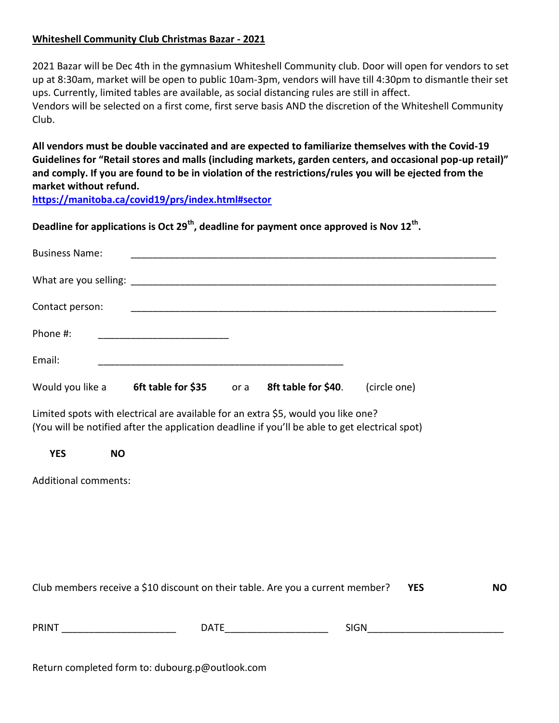## **Whiteshell Community Club Christmas Bazar - 2021**

2021 Bazar will be Dec 4th in the gymnasium Whiteshell Community club. Door will open for vendors to set up at 8:30am, market will be open to public 10am-3pm, vendors will have till 4:30pm to dismantle their set ups. Currently, limited tables are available, as social distancing rules are still in affect. Vendors will be selected on a first come, first serve basis AND the discretion of the Whiteshell Community Club.

**All vendors must be double vaccinated and are expected to familiarize themselves with the Covid-19 Guidelines for "Retail stores and malls (including markets, garden centers, and occasional pop-up retail)" and comply. If you are found to be in violation of the restrictions/rules you will be ejected from the market without refund.** 

**https://manitoba.ca/covid19/prs/index.html#sector**

**Deadline for applications is Oct 29th, deadline for payment once approved is Nov 12th .** 

| <b>Business Name:</b>                                                                                                                                                               |                                |  |                     |              |  |  |
|-------------------------------------------------------------------------------------------------------------------------------------------------------------------------------------|--------------------------------|--|---------------------|--------------|--|--|
|                                                                                                                                                                                     |                                |  |                     |              |  |  |
| Contact person:                                                                                                                                                                     |                                |  |                     |              |  |  |
| Phone #:                                                                                                                                                                            |                                |  |                     |              |  |  |
| Email:                                                                                                                                                                              |                                |  |                     |              |  |  |
| Would you like a                                                                                                                                                                    | <b>6ft table for \$35</b> or a |  | 8ft table for \$40. | (circle one) |  |  |
| Limited spots with electrical are available for an extra \$5, would you like one?<br>(You will be notified after the application deadline if you'll be able to get electrical spot) |                                |  |                     |              |  |  |
| <b>YES</b><br><b>NO</b>                                                                                                                                                             |                                |  |                     |              |  |  |
| <b>Additional comments:</b>                                                                                                                                                         |                                |  |                     |              |  |  |

| <b>PRINT</b> | <b>DATE</b> | <b>SIGN</b> |
|--------------|-------------|-------------|

Club members receive a \$10 discount on their table. Are you a current member? **YES NO**

Return completed form to: dubourg.p@outlook.com